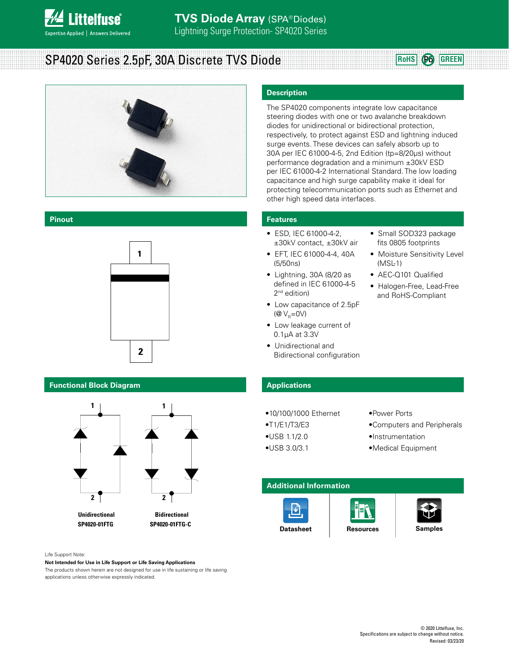

# SP4020 Series 2.5pF, 30A Discrete TVS Diode **Rouse CONS ROHS Pb** GREEN



#### **Pinout**



#### **Functional Block Diagram**



 **SP4020-01FTG SP4020-01FTG-C**

#### Life Support Note:

#### **Not Intended for Use in Life Support or Life Saving Applications**

The products shown herein are not designed for use in life sustaining or life saving applications unless otherwise expressly indicated.

#### **Description**

The SP4020 components integrate low capacitance steering diodes with one or two avalanche breakdown diodes for unidirectional or bidirectional protection, respectively, to protect against ESD and lightning induced surge events. These devices can safely absorb up to 30A per IEC 61000-4-5, 2nd Edition (tp=8/20μs) without performance degradation and a minimum ±30kV ESD per IEC 61000-4-2 International Standard. The low loading capacitance and high surge capability make it ideal for protecting telecommunication ports such as Ethernet and other high speed data interfaces.

#### **Features**

- ESD, IEC 61000-4-2, ±30kV contact, ±30kV air
- EFT, IEC 61000-4-4, 40A (5/50ns)
- Lightning, 30A (8/20 as defined in IEC 61000-4-5 2<sup>nd</sup> edition)
- Low capacitance of 2.5pF  $(\mathcal{Q} V_{\mathcal{Q}}=0V)$
- Low leakage current of 0.1μA at 3.3V
- Unidirectional and Bidirectional configuration

# • Small SOD323 package fits 0805 footprints

- Moisture Sensitivity Level (MSL-1)
- AEC-Q101 Qualified
- Halogen-Free, Lead-Free and RoHS-Compliant

### **Applications**

- •10/100/1000 Ethernet
- •T1/E1/T3/E3

•USB 1.1/2.0 •USB 3.0/3.1

- •Power Ports
- •Computers and Peripherals
- •Instrumentation
	- •Medical Equipment

### **Additional Information**





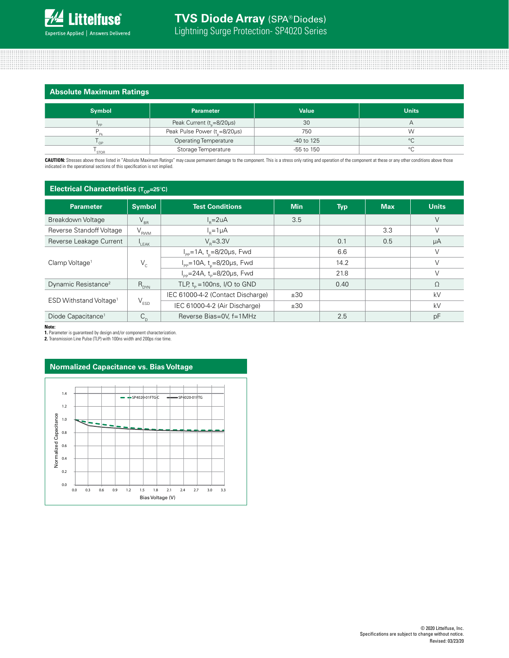|  | <b>Absolute Maximum Ratings</b> |  |
|--|---------------------------------|--|
|  |                                 |  |

| <b>Symbol</b> | <b>Parameter</b>                             | <b>Value</b>   | <b>Units</b> |
|---------------|----------------------------------------------|----------------|--------------|
|               | Peak Current ( $t_{\text{e}} = 8/20 \mu s$ ) | 30             |              |
|               | Peak Pulse Power (t <sub>r</sub> =8/20µs)    | 750            | W            |
| OP            | <b>Operating Temperature</b>                 | $-40$ to 125   | $\circ$      |
| <b>STOR</b>   | Storage Temperature                          | $-55$ to $150$ | $\circ$      |

CAUTION: Stresses above those listed in "Absolute Maximum Ratings" may cause permanent damage to the component. This is a stress only rating and operation of the component at these or any other conditions above those indicated in the operational sections of this specification is not implied.

| <b>Electrical Characteristics <math>(T_{\text{op}}=25^{\circ}C)</math></b> |                  |                                                               |            |            |            |              |
|----------------------------------------------------------------------------|------------------|---------------------------------------------------------------|------------|------------|------------|--------------|
| <b>Parameter</b>                                                           | <b>Symbol</b>    | <b>Test Conditions</b>                                        | <b>Min</b> | <b>Typ</b> | <b>Max</b> | <b>Units</b> |
| Breakdown Voltage                                                          | $V_{BR}$         | $I_{p} = 2uA$                                                 | 3.5        |            |            | $\vee$       |
| Reverse Standoff Voltage                                                   | $\rm V_{_{RWM}}$ | $I_{p}=1\mu A$                                                |            |            | 3.3        | V            |
| Reverse Leakage Current                                                    | $L$ EAK          | $V_{p} = 3.3V$                                                |            | 0.1        | 0.5        | μA           |
| Clamp Voltage <sup>1</sup>                                                 | $V_c$            | $I_{\text{pp}} = 1 \text{A}, t_{\text{n}} = 8/20 \mu s$ , Fwd |            | 6.6        |            | V            |
|                                                                            |                  | $I_{\text{pp}}$ =10A, t <sub>n</sub> =8/20µs, Fwd             |            | 14.2       |            | V            |
|                                                                            |                  | $I_{\text{pp}} = 24A$ , t <sub>p</sub> =8/20µs, Fwd           |            | 21.8       |            | $\vee$       |
| Dynamic Resistance <sup>2</sup>                                            | $R_{DYN}$        | TLP, $t_p = 100$ ns, I/O to GND                               |            | 0.40       |            | Ω            |
| ESD Withstand Voltage <sup>1</sup>                                         | $V_{ESD}$        | IEC 61000-4-2 (Contact Discharge)                             | ±30        |            |            | kV           |
|                                                                            |                  | IEC 61000-4-2 (Air Discharge)                                 | ±30        |            |            | kV           |
| Diode Capacitance <sup>1</sup>                                             | $C_{n}$          | Reverse Bias=0V, f=1MHz                                       |            | 2.5        |            | pF           |

**Note:**

**1.** Parameter is guaranteed by design and/or component characterization.

**2.** Transmission Line Pulse (TLP) with 100ns width and 200ps rise time.

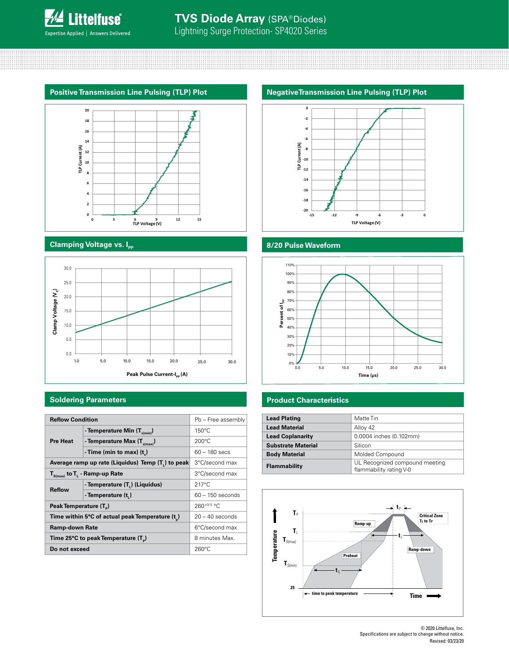



### **Clamping Voltage vs. I<sub>PP</sub>**



| <b>Soldering Parameters</b>                       |                                  |                    | <b>Product Characteristics</b> |                         |  |
|---------------------------------------------------|----------------------------------|--------------------|--------------------------------|-------------------------|--|
|                                                   |                                  |                    |                                |                         |  |
| <b>Reflow Condition</b>                           |                                  | Pb - Free assembly | <b>Lead Plating</b>            | Matte Tin               |  |
|                                                   | - Temperature Min $(T_{s(min)})$ | $150^{\circ}$ C    | <b>Lead Material</b>           | Alloy 42                |  |
|                                                   |                                  | $200^{\circ}$ C    | <b>Lead Coplanarity</b>        | 0.0004 inches (0.102mm) |  |
| <b>Pre Heat</b>                                   | - Temperature Max $(T_{s(max)})$ |                    | <b>Substrate Material</b>      | Silicon                 |  |
|                                                   | - Time (min to max) $(t_n)$      | $60 - 180$ secs    | <b>Body Material</b>           | Molded Compound         |  |
| Average ramp up rate (Liquidus) Temp (T ) to peak |                                  | 3°C/second max     | Flammability                   | UL Recognized compound  |  |
| $T_{S(max)}$ to $T_{L}$ - Ramp-up Rate            |                                  | 3°C/second max     |                                | flammability rating V-0 |  |
| - Temperature (T.) (Liquidus)                     |                                  | $217^{\circ}$ C    |                                |                         |  |
| <b>Reflow</b>                                     | - Temperature (t,)               | $60 - 150$ seconds |                                |                         |  |
| Peak Temperature (T <sub>a</sub> )                |                                  | $260^{+0/5}$ °C.   |                                |                         |  |
| Time within 5°C of actual peak Temperature (t)    |                                  | $20 - 40$ seconds  | $T_{p}$                        | Cı<br>Tı                |  |
| <b>Ramp-down Rate</b>                             |                                  | 6°C/second max     | T.                             | Ramp-up                 |  |
| Time 25°C to peak Temperature (T <sub>n</sub> )   |                                  | 8 minutes Max.     | $\textbf{T}_{\text{S(max)}}$   |                         |  |
| Do not exceed                                     |                                  | $260^{\circ}$ C    | nperature                      | Ramp-d<br>$-1$          |  |



# **8/20 Pulse Waveform**



| <b>Lead Plating</b>       | Matte Tin                                                 |
|---------------------------|-----------------------------------------------------------|
| <b>Lead Material</b>      | Alloy 42                                                  |
| <b>Lead Coplanarity</b>   | 0.0004 inches (0.102mm)                                   |
| <b>Substrate Material</b> | Silicon                                                   |
| <b>Body Material</b>      | Molded Compound                                           |
| Flammability              | UL Recognized compound meeting<br>flammability rating V-0 |